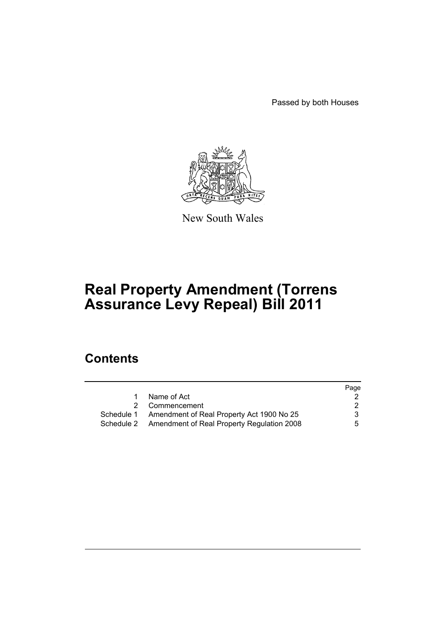Passed by both Houses



New South Wales

# **Real Property Amendment (Torrens Assurance Levy Repeal) Bill 2011**

# **Contents**

|                                                       | Page |
|-------------------------------------------------------|------|
| Name of Act                                           |      |
| 2 Commencement                                        | 2    |
| Schedule 1 Amendment of Real Property Act 1900 No 25  | 3    |
| Schedule 2 Amendment of Real Property Regulation 2008 | 5    |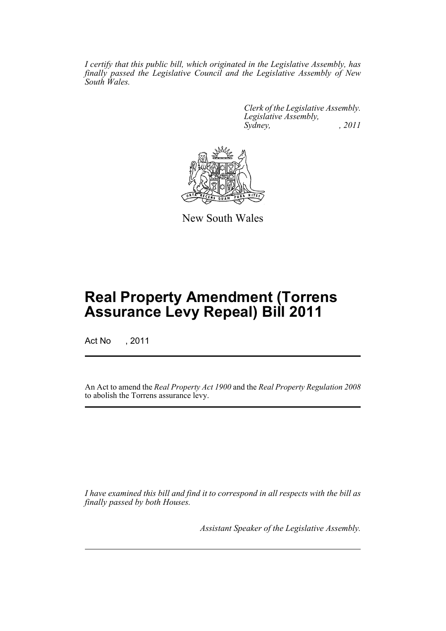*I certify that this public bill, which originated in the Legislative Assembly, has finally passed the Legislative Council and the Legislative Assembly of New South Wales.*

> *Clerk of the Legislative Assembly. Legislative Assembly, Sydney, , 2011*



New South Wales

# **Real Property Amendment (Torrens Assurance Levy Repeal) Bill 2011**

Act No , 2011

An Act to amend the *Real Property Act 1900* and the *Real Property Regulation 2008* to abolish the Torrens assurance levy.

*I have examined this bill and find it to correspond in all respects with the bill as finally passed by both Houses.*

*Assistant Speaker of the Legislative Assembly.*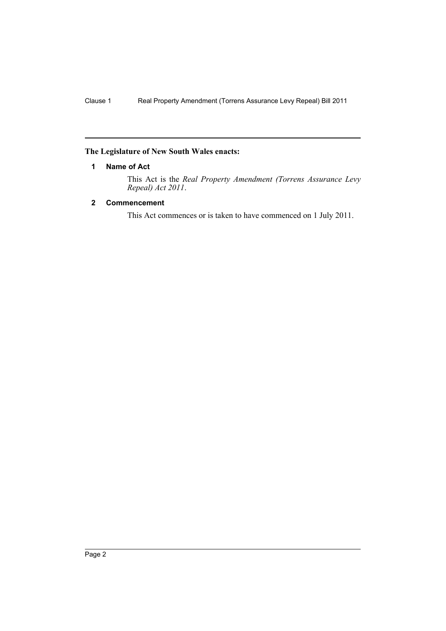#### <span id="page-3-0"></span>**The Legislature of New South Wales enacts:**

#### **1 Name of Act**

This Act is the *Real Property Amendment (Torrens Assurance Levy Repeal) Act 2011*.

### <span id="page-3-1"></span>**2 Commencement**

This Act commences or is taken to have commenced on 1 July 2011.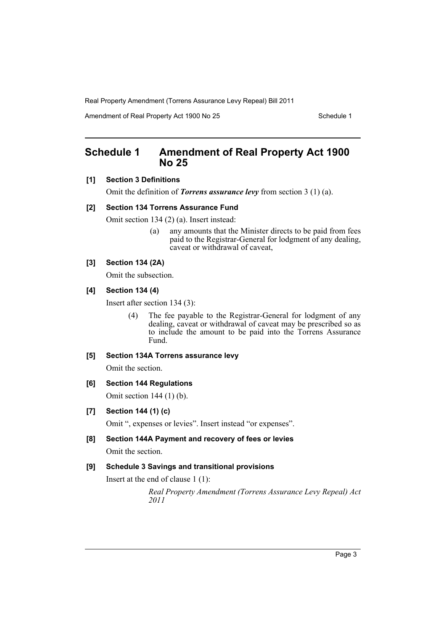Amendment of Real Property Act 1900 No 25 Schedule 1

## <span id="page-4-0"></span>**Schedule 1 Amendment of Real Property Act 1900 No 25**

#### **[1] Section 3 Definitions**

Omit the definition of *Torrens assurance levy* from section 3 (1) (a).

#### **[2] Section 134 Torrens Assurance Fund**

Omit section 134 (2) (a). Insert instead:

(a) any amounts that the Minister directs to be paid from fees paid to the Registrar-General for lodgment of any dealing, caveat or withdrawal of caveat,

## **[3] Section 134 (2A)**

Omit the subsection.

## **[4] Section 134 (4)**

Insert after section 134 (3):

(4) The fee payable to the Registrar-General for lodgment of any dealing, caveat or withdrawal of caveat may be prescribed so as to include the amount to be paid into the Torrens Assurance Fund.

#### **[5] Section 134A Torrens assurance levy**

Omit the section.

#### **[6] Section 144 Regulations**

Omit section 144 (1) (b).

#### **[7] Section 144 (1) (c)**

Omit ", expenses or levies". Insert instead "or expenses".

**[8] Section 144A Payment and recovery of fees or levies** Omit the section.

## **[9] Schedule 3 Savings and transitional provisions**

Insert at the end of clause 1 (1):

*Real Property Amendment (Torrens Assurance Levy Repeal) Act 2011*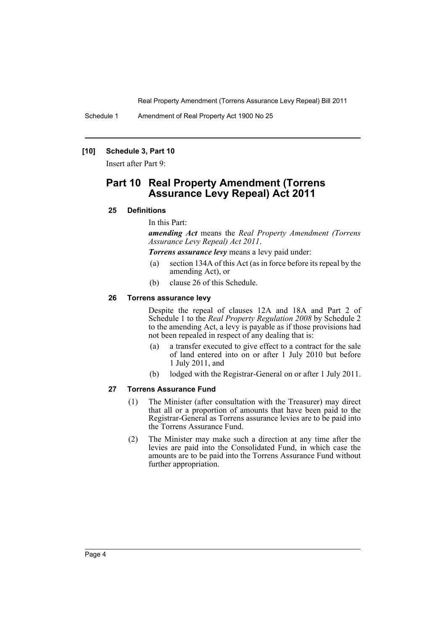Schedule 1 Amendment of Real Property Act 1900 No 25

#### **[10] Schedule 3, Part 10**

Insert after Part 9:

## **Part 10 Real Property Amendment (Torrens Assurance Levy Repeal) Act 2011**

#### **25 Definitions**

In this Part:

*amending Act* means the *Real Property Amendment (Torrens Assurance Levy Repeal) Act 2011*.

*Torrens assurance levy* means a levy paid under:

- (a) section 134A of this Act (as in force before its repeal by the amending Act), or
- (b) clause 26 of this Schedule.

#### **26 Torrens assurance levy**

Despite the repeal of clauses 12A and 18A and Part 2 of Schedule 1 to the *Real Property Regulation 2008* by Schedule 2 to the amending Act, a levy is payable as if those provisions had not been repealed in respect of any dealing that is:

- (a) a transfer executed to give effect to a contract for the sale of land entered into on or after 1 July 2010 but before 1 July 2011, and
- (b) lodged with the Registrar-General on or after 1 July 2011.

#### **27 Torrens Assurance Fund**

- (1) The Minister (after consultation with the Treasurer) may direct that all or a proportion of amounts that have been paid to the Registrar-General as Torrens assurance levies are to be paid into the Torrens Assurance Fund.
- (2) The Minister may make such a direction at any time after the levies are paid into the Consolidated Fund, in which case the amounts are to be paid into the Torrens Assurance Fund without further appropriation.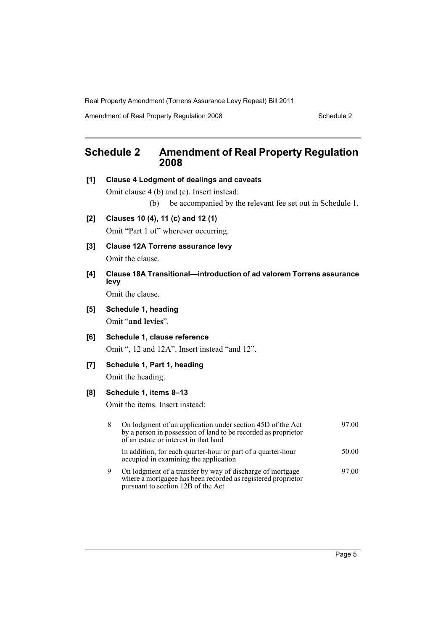Amendment of Real Property Regulation 2008 Schedule 2

# <span id="page-6-0"></span>**Schedule 2 Amendment of Real Property Regulation 2008**

**[1] Clause 4 Lodgment of dealings and caveats**

Omit clause 4 (b) and (c). Insert instead:

- (b) be accompanied by the relevant fee set out in Schedule 1.
- **[2] Clauses 10 (4), 11 (c) and 12 (1)**

Omit "Part 1 of" wherever occurring.

- **[3] Clause 12A Torrens assurance levy** Omit the clause.
- **[4] Clause 18A Transitional—introduction of ad valorem Torrens assurance levy**

Omit the clause.

- **[5] Schedule 1, heading** Omit "**and levies**".
- **[6] Schedule 1, clause reference** Omit ", 12 and 12A". Insert instead "and 12".

## **[7] Schedule 1, Part 1, heading**

Omit the heading.

## **[8] Schedule 1, items 8–13**

Omit the items. Insert instead:

| 8 | On lodgment of an application under section 45D of the Act<br>by a person in possession of land to be recorded as proprietor<br>of an estate or interest in that land | 97.00 |
|---|-----------------------------------------------------------------------------------------------------------------------------------------------------------------------|-------|
|   | In addition, for each quarter-hour or part of a quarter-hour<br>occupied in examining the application                                                                 | 50.00 |
| 9 | On lodgment of a transfer by way of discharge of mortgage<br>where a mortgagee has been recorded as registered proprietor<br>pursuant to section 12B of the Act       | 97.00 |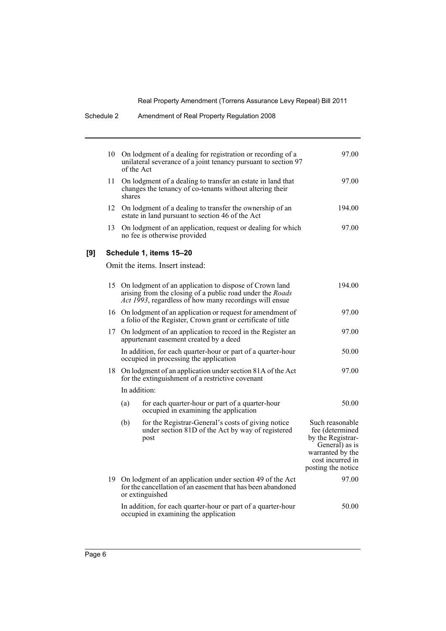|     | 10                      | of the Act                                                                                                                        | On lodgment of a dealing for registration or recording of a<br>unilateral severance of a joint tenancy pursuant to section 97                                                           | 97.00                                                                                                                                   |
|-----|-------------------------|-----------------------------------------------------------------------------------------------------------------------------------|-----------------------------------------------------------------------------------------------------------------------------------------------------------------------------------------|-----------------------------------------------------------------------------------------------------------------------------------------|
|     | 11                      | On lodgment of a dealing to transfer an estate in land that<br>changes the tenancy of co-tenants without altering their<br>shares |                                                                                                                                                                                         | 97.00                                                                                                                                   |
|     | 12                      |                                                                                                                                   | On lodgment of a dealing to transfer the ownership of an<br>estate in land pursuant to section 46 of the Act                                                                            | 194.00                                                                                                                                  |
|     | 13                      |                                                                                                                                   | On lodgment of an application, request or dealing for which<br>no fee is otherwise provided                                                                                             | 97.00                                                                                                                                   |
| [9] | Schedule 1, items 15-20 |                                                                                                                                   |                                                                                                                                                                                         |                                                                                                                                         |
|     |                         |                                                                                                                                   | Omit the items. Insert instead:                                                                                                                                                         |                                                                                                                                         |
|     |                         |                                                                                                                                   | 15 On lodgment of an application to dispose of Crown land<br>arising from the closing of a public road under the <i>Roads</i><br>Act 1993, regardless of how many recordings will ensue | 194.00                                                                                                                                  |
|     |                         |                                                                                                                                   | 16 On lodgment of an application or request for amendment of<br>a folio of the Register, Crown grant or certificate of title                                                            | 97.00                                                                                                                                   |
|     | 17                      |                                                                                                                                   | On lodgment of an application to record in the Register an<br>appurtenant easement created by a deed                                                                                    | 97.00                                                                                                                                   |
|     |                         |                                                                                                                                   | In addition, for each quarter-hour or part of a quarter-hour<br>occupied in processing the application                                                                                  | 50.00                                                                                                                                   |
|     |                         | 18 On lodgment of an application under section 81A of the Act<br>for the extinguishment of a restrictive covenant                 |                                                                                                                                                                                         | 97.00                                                                                                                                   |
|     |                         | In addition:                                                                                                                      |                                                                                                                                                                                         |                                                                                                                                         |
|     |                         | (a)                                                                                                                               | for each quarter-hour or part of a quarter-hour<br>occupied in examining the application                                                                                                | 50.00                                                                                                                                   |
|     |                         | (b)                                                                                                                               | for the Registrar-General's costs of giving notice<br>under section 81D of the Act by way of registered<br>post                                                                         | Such reasonable<br>fee (determined<br>by the Registrar-<br>General) as is<br>warranted by the<br>cost incurred in<br>posting the notice |
|     |                         |                                                                                                                                   | 19 On lodgment of an application under section 49 of the Act<br>for the cancellation of an easement that has been abandoned<br>or extinguished                                          | 97.00                                                                                                                                   |
|     |                         |                                                                                                                                   | In addition, for each quarter-hour or part of a quarter-hour<br>occupied in examining the application                                                                                   | 50.00                                                                                                                                   |

Schedule 2 Amendment of Real Property Regulation 2008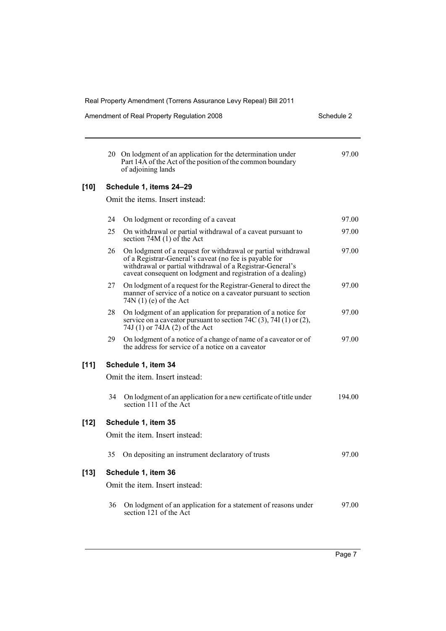| Real Property Amendment (Torrens Assurance Levy Repeal) Bill 2011 |                                                                                                                                                                                                                                                      |                                                                                                                                                                                                                                                  |  |  |  |
|-------------------------------------------------------------------|------------------------------------------------------------------------------------------------------------------------------------------------------------------------------------------------------------------------------------------------------|--------------------------------------------------------------------------------------------------------------------------------------------------------------------------------------------------------------------------------------------------|--|--|--|
|                                                                   |                                                                                                                                                                                                                                                      | Schedule 2                                                                                                                                                                                                                                       |  |  |  |
|                                                                   | Part 14A of the Act of the position of the common boundary<br>of adjoining lands                                                                                                                                                                     | 97.00                                                                                                                                                                                                                                            |  |  |  |
| Schedule 1, items 24-29                                           |                                                                                                                                                                                                                                                      |                                                                                                                                                                                                                                                  |  |  |  |
| Omit the items. Insert instead:                                   |                                                                                                                                                                                                                                                      |                                                                                                                                                                                                                                                  |  |  |  |
| 24                                                                | On lodgment or recording of a caveat                                                                                                                                                                                                                 | 97.00                                                                                                                                                                                                                                            |  |  |  |
| 25                                                                | On withdrawal or partial withdrawal of a caveat pursuant to<br>section 74M $(1)$ of the Act                                                                                                                                                          | 97.00                                                                                                                                                                                                                                            |  |  |  |
| 26                                                                | On lodgment of a request for withdrawal or partial withdrawal<br>of a Registrar-General's caveat (no fee is payable for<br>withdrawal or partial withdrawal of a Registrar-General's<br>caveat consequent on lodgment and registration of a dealing) | 97.00                                                                                                                                                                                                                                            |  |  |  |
| 27                                                                | On lodgment of a request for the Registrar-General to direct the<br>manner of service of a notice on a caveator pursuant to section<br>$74N(1)$ (e) of the Act                                                                                       | 97.00                                                                                                                                                                                                                                            |  |  |  |
| 28                                                                | On lodgment of an application for preparation of a notice for<br>service on a caveator pursuant to section 74C (3), 74I (1) or (2),<br>74J (1) or 74JA (2) of the Act                                                                                | 97.00                                                                                                                                                                                                                                            |  |  |  |
| 29.                                                               | On lodgment of a notice of a change of name of a caveator or of<br>the address for service of a notice on a caveator                                                                                                                                 | 97.00                                                                                                                                                                                                                                            |  |  |  |
| Schedule 1, item 34                                               |                                                                                                                                                                                                                                                      |                                                                                                                                                                                                                                                  |  |  |  |
|                                                                   |                                                                                                                                                                                                                                                      |                                                                                                                                                                                                                                                  |  |  |  |
| 34                                                                | On lodgment of an application for a new certificate of title under<br>section 111 of the Act                                                                                                                                                         | 194.00                                                                                                                                                                                                                                           |  |  |  |
| Schedule 1, item 35                                               |                                                                                                                                                                                                                                                      |                                                                                                                                                                                                                                                  |  |  |  |
| Omit the item. Insert instead:                                    |                                                                                                                                                                                                                                                      |                                                                                                                                                                                                                                                  |  |  |  |
| 35                                                                | On depositing an instrument declaratory of trusts                                                                                                                                                                                                    | 97.00                                                                                                                                                                                                                                            |  |  |  |
| Schedule 1, item 36                                               |                                                                                                                                                                                                                                                      |                                                                                                                                                                                                                                                  |  |  |  |
|                                                                   |                                                                                                                                                                                                                                                      |                                                                                                                                                                                                                                                  |  |  |  |
| 36                                                                | section 121 of the Act                                                                                                                                                                                                                               | 97.00                                                                                                                                                                                                                                            |  |  |  |
|                                                                   |                                                                                                                                                                                                                                                      | Amendment of Real Property Regulation 2008<br>20 On lodgment of an application for the determination under<br>Omit the item. Insert instead:<br>Omit the item. Insert instead:<br>On lodgment of an application for a statement of reasons under |  |  |  |